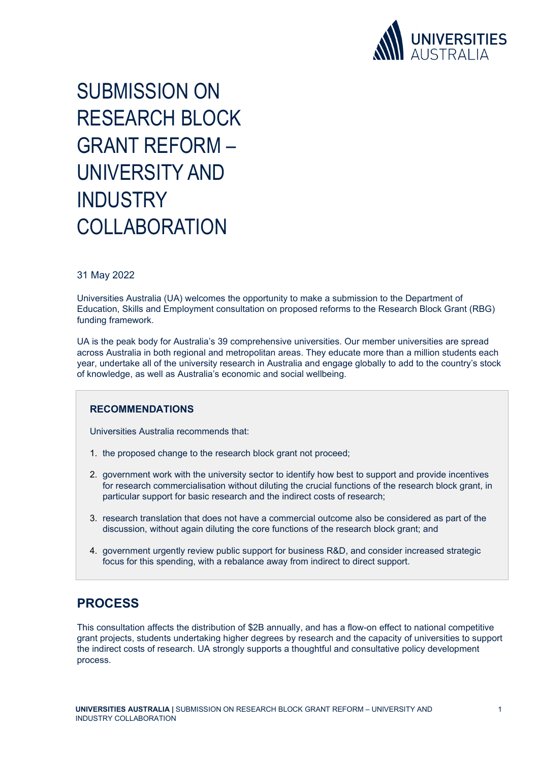

SUBMISSION ON RESEARCH BLOCK GRANT REFORM – UNIVERSITY AND **INDUSTRY COLLABORATION** 

#### 31 May 2022

Universities Australia (UA) welcomes the opportunity to make a submission to the Department of Education, Skills and Employment consultation on proposed reforms to the Research Block Grant (RBG) funding framework.

UA is the peak body for Australia's 39 comprehensive universities. Our member universities are spread across Australia in both regional and metropolitan areas. They educate more than a million students each year, undertake all of the university research in Australia and engage globally to add to the country's stock of knowledge, as well as Australia's economic and social wellbeing.

#### **RECOMMENDATIONS**

Universities Australia recommends that:

- 1. the proposed change to the research block grant not proceed;
- 2. government work with the university sector to identify how best to support and provide incentives for research commercialisation without diluting the crucial functions of the research block grant, in particular support for basic research and the indirect costs of research;
- 3. research translation that does not have a commercial outcome also be considered as part of the discussion, without again diluting the core functions of the research block grant; and
- 4. government urgently review public support for business R&D, and consider increased strategic focus for this spending, with a rebalance away from indirect to direct support.

#### **PROCESS**

This consultation affects the distribution of \$2B annually, and has a flow-on effect to national competitive grant projects, students undertaking higher degrees by research and the capacity of universities to support the indirect costs of research. UA strongly supports a thoughtful and consultative policy development process.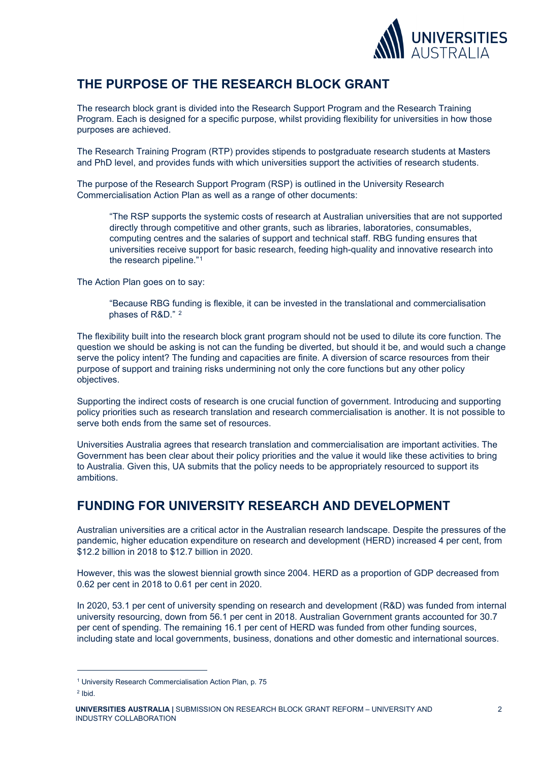

## **THE PURPOSE OF THE RESEARCH BLOCK GRANT**

The research block grant is divided into the Research Support Program and the Research Training Program. Each is designed for a specific purpose, whilst providing flexibility for universities in how those purposes are achieved.

The Research Training Program (RTP) provides stipends to postgraduate research students at Masters and PhD level, and provides funds with which universities support the activities of research students.

The purpose of the Research Support Program (RSP) is outlined in the University Research Commercialisation Action Plan as well as a range of other documents:

"The RSP supports the systemic costs of research at Australian universities that are not supported directly through competitive and other grants, such as libraries, laboratories, consumables, computing centres and the salaries of support and technical staff. RBG funding ensures that universities receive support for basic research, feeding high-quality and innovative research into the research pipeline."[1](#page-1-0)

The Action Plan goes on to say:

"Because RBG funding is flexible, it can be invested in the translational and commercialisation phases of R&D." [2](#page-1-1)

The flexibility built into the research block grant program should not be used to dilute its core function. The question we should be asking is not can the funding be diverted, but should it be, and would such a change serve the policy intent? The funding and capacities are finite. A diversion of scarce resources from their purpose of support and training risks undermining not only the core functions but any other policy objectives.

Supporting the indirect costs of research is one crucial function of government. Introducing and supporting policy priorities such as research translation and research commercialisation is another. It is not possible to serve both ends from the same set of resources.

Universities Australia agrees that research translation and commercialisation are important activities. The Government has been clear about their policy priorities and the value it would like these activities to bring to Australia. Given this, UA submits that the policy needs to be appropriately resourced to support its ambitions.

### **FUNDING FOR UNIVERSITY RESEARCH AND DEVELOPMENT**

Australian universities are a critical actor in the Australian research landscape. Despite the pressures of the pandemic, higher education expenditure on research and development (HERD) increased 4 per cent, from \$12.2 billion in 2018 to \$12.7 billion in 2020.

However, this was the slowest biennial growth since 2004. HERD as a proportion of GDP decreased from 0.62 per cent in 2018 to 0.61 per cent in 2020.

In 2020, 53.1 per cent of university spending on research and development (R&D) was funded from internal university resourcing, down from 56.1 per cent in 2018. Australian Government grants accounted for 30.7 per cent of spending. The remaining 16.1 per cent of HERD was funded from other funding sources, including state and local governments, business, donations and other domestic and international sources.

<span id="page-1-0"></span><sup>1</sup> University Research Commercialisation Action Plan, p. 75

<span id="page-1-1"></span> $2$  Ibid.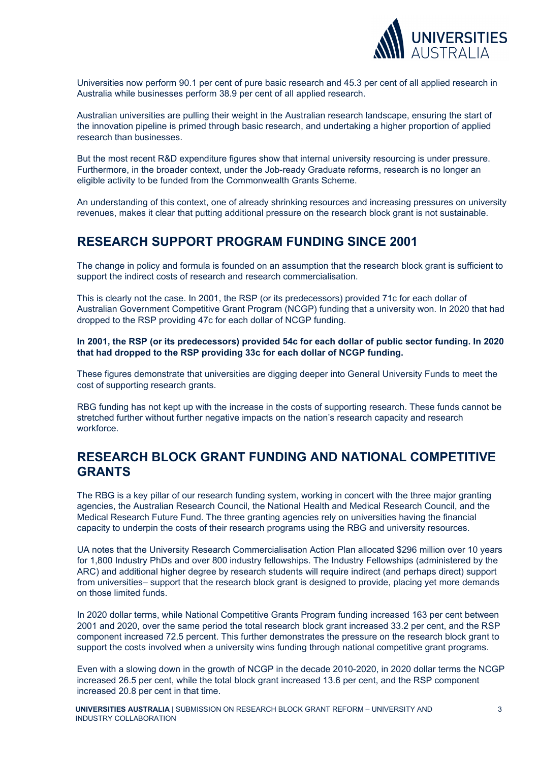

Universities now perform 90.1 per cent of pure basic research and 45.3 per cent of all applied research in Australia while businesses perform 38.9 per cent of all applied research.

Australian universities are pulling their weight in the Australian research landscape, ensuring the start of the innovation pipeline is primed through basic research, and undertaking a higher proportion of applied research than businesses.

But the most recent R&D expenditure figures show that internal university resourcing is under pressure. Furthermore, in the broader context, under the Job-ready Graduate reforms, research is no longer an eligible activity to be funded from the Commonwealth Grants Scheme.

An understanding of this context, one of already shrinking resources and increasing pressures on university revenues, makes it clear that putting additional pressure on the research block grant is not sustainable.

### **RESEARCH SUPPORT PROGRAM FUNDING SINCE 2001**

The change in policy and formula is founded on an assumption that the research block grant is sufficient to support the indirect costs of research and research commercialisation.

This is clearly not the case. In 2001, the RSP (or its predecessors) provided 71c for each dollar of Australian Government Competitive Grant Program (NCGP) funding that a university won. In 2020 that had dropped to the RSP providing 47c for each dollar of NCGP funding.

#### **In 2001, the RSP (or its predecessors) provided 54c for each dollar of public sector funding. In 2020 that had dropped to the RSP providing 33c for each dollar of NCGP funding.**

These figures demonstrate that universities are digging deeper into General University Funds to meet the cost of supporting research grants.

RBG funding has not kept up with the increase in the costs of supporting research. These funds cannot be stretched further without further negative impacts on the nation's research capacity and research workforce.

### **RESEARCH BLOCK GRANT FUNDING AND NATIONAL COMPETITIVE GRANTS**

The RBG is a key pillar of our research funding system, working in concert with the three major granting agencies, the Australian Research Council, the National Health and Medical Research Council, and the Medical Research Future Fund. The three granting agencies rely on universities having the financial capacity to underpin the costs of their research programs using the RBG and university resources.

UA notes that the University Research Commercialisation Action Plan allocated \$296 million over 10 years for 1,800 Industry PhDs and over 800 industry fellowships. The Industry Fellowships (administered by the ARC) and additional higher degree by research students will require indirect (and perhaps direct) support from universities– support that the research block grant is designed to provide, placing yet more demands on those limited funds.

In 2020 dollar terms, while National Competitive Grants Program funding increased 163 per cent between 2001 and 2020, over the same period the total research block grant increased 33.2 per cent, and the RSP component increased 72.5 percent. This further demonstrates the pressure on the research block grant to support the costs involved when a university wins funding through national competitive grant programs.

Even with a slowing down in the growth of NCGP in the decade 2010-2020, in 2020 dollar terms the NCGP increased 26.5 per cent, while the total block grant increased 13.6 per cent, and the RSP component increased 20.8 per cent in that time.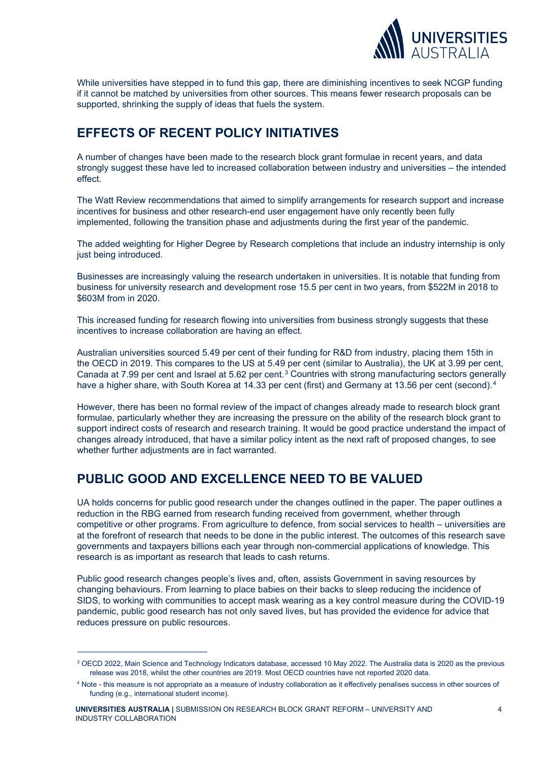

While universities have stepped in to fund this gap, there are diminishing incentives to seek NCGP funding if it cannot be matched by universities from other sources. This means fewer research proposals can be supported, shrinking the supply of ideas that fuels the system.

## **EFFECTS OF RECENT POLICY INITIATIVES**

A number of changes have been made to the research block grant formulae in recent years, and data strongly suggest these have led to increased collaboration between industry and universities – the intended effect.

The Watt Review recommendations that aimed to simplify arrangements for research support and increase incentives for business and other research-end user engagement have only recently been fully implemented, following the transition phase and adjustments during the first year of the pandemic.

The added weighting for Higher Degree by Research completions that include an industry internship is only just being introduced.

Businesses are increasingly valuing the research undertaken in universities. It is notable that funding from business for university research and development rose 15.5 per cent in two years, from \$522M in 2018 to \$603M from in 2020.

This increased funding for research flowing into universities from business strongly suggests that these incentives to increase collaboration are having an effect.

Australian universities sourced 5.49 per cent of their funding for R&D from industry, placing them 15th in the OECD in 2019. This compares to the US at 5.49 per cent (similar to Australia), the UK at 3.99 per cent, Canada at 7.99 per cent and Israel at 5.62 per cent.<sup>[3](#page-3-0)</sup> Countries with strong manufacturing sectors generally have a higher share, with South Korea at 1[4](#page-3-1).33 per cent (first) and Germany at 13.56 per cent (second).<sup>4</sup>

However, there has been no formal review of the impact of changes already made to research block grant formulae, particularly whether they are increasing the pressure on the ability of the research block grant to support indirect costs of research and research training. It would be good practice understand the impact of changes already introduced, that have a similar policy intent as the next raft of proposed changes, to see whether further adjustments are in fact warranted.

# **PUBLIC GOOD AND EXCELLENCE NEED TO BE VALUED**

UA holds concerns for public good research under the changes outlined in the paper. The paper outlines a reduction in the RBG earned from research funding received from government, whether through competitive or other programs. From agriculture to defence, from social services to health – universities are at the forefront of research that needs to be done in the public interest. The outcomes of this research save governments and taxpayers billions each year through non-commercial applications of knowledge. This research is as important as research that leads to cash returns.

Public good research changes people's lives and, often, assists Government in saving resources by changing behaviours. From learning to place babies on their backs to sleep reducing the incidence of SIDS, to working with communities to accept mask wearing as a key control measure during the COVID-19 pandemic, public good research has not only saved lives, but has provided the evidence for advice that reduces pressure on public resources.

<span id="page-3-0"></span><sup>&</sup>lt;sup>3</sup> OECD 2022, Main Science and Technology Indicators database, accessed 10 May 2022. The Australia data is 2020 as the previous release was 2018, whilst the other countries are 2019. Most OECD countries have not reported 2020 data.

<span id="page-3-1"></span><sup>4</sup> Note - this measure is not appropriate as a measure of industry collaboration as it effectively penalises success in other sources of funding (e.g., international student income).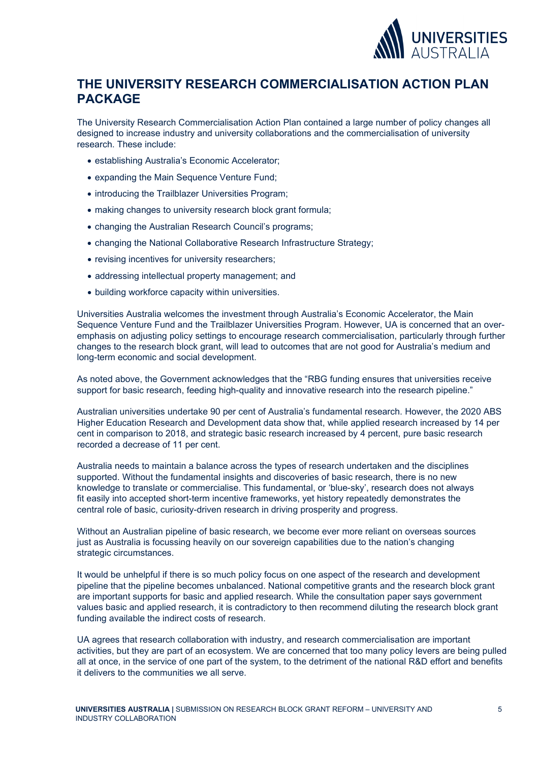

### **THE UNIVERSITY RESEARCH COMMERCIALISATION ACTION PLAN PACKAGE**

The University Research Commercialisation Action Plan contained a large number of policy changes all designed to increase industry and university collaborations and the commercialisation of university research. These include:

- establishing Australia's Economic Accelerator;
- expanding the Main Sequence Venture Fund;
- introducing the Trailblazer Universities Program;
- making changes to university research block grant formula;
- changing the Australian Research Council's programs;
- changing the National Collaborative Research Infrastructure Strategy;
- revising incentives for university researchers;
- addressing intellectual property management; and
- building workforce capacity within universities.

Universities Australia welcomes the investment through Australia's Economic Accelerator, the Main Sequence Venture Fund and the Trailblazer Universities Program. However, UA is concerned that an overemphasis on adjusting policy settings to encourage research commercialisation, particularly through further changes to the research block grant, will lead to outcomes that are not good for Australia's medium and long-term economic and social development.

As noted above, the Government acknowledges that the "RBG funding ensures that universities receive support for basic research, feeding high-quality and innovative research into the research pipeline."

Australian universities undertake 90 per cent of Australia's fundamental research. However, the 2020 ABS Higher Education Research and Development data show that, while applied research increased by 14 per cent in comparison to 2018, and strategic basic research increased by 4 percent, pure basic research recorded a decrease of 11 per cent.

Australia needs to maintain a balance across the types of research undertaken and the disciplines supported. Without the fundamental insights and discoveries of basic research, there is no new knowledge to translate or commercialise. This fundamental, or 'blue-sky', research does not always fit easily into accepted short-term incentive frameworks, yet history repeatedly demonstrates the central role of basic, curiosity-driven research in driving prosperity and progress.

Without an Australian pipeline of basic research, we become ever more reliant on overseas sources just as Australia is focussing heavily on our sovereign capabilities due to the nation's changing strategic circumstances.

It would be unhelpful if there is so much policy focus on one aspect of the research and development pipeline that the pipeline becomes unbalanced. National competitive grants and the research block grant are important supports for basic and applied research. While the consultation paper says government values basic and applied research, it is contradictory to then recommend diluting the research block grant funding available the indirect costs of research.

UA agrees that research collaboration with industry, and research commercialisation are important activities, but they are part of an ecosystem. We are concerned that too many policy levers are being pulled all at once, in the service of one part of the system, to the detriment of the national R&D effort and benefits it delivers to the communities we all serve.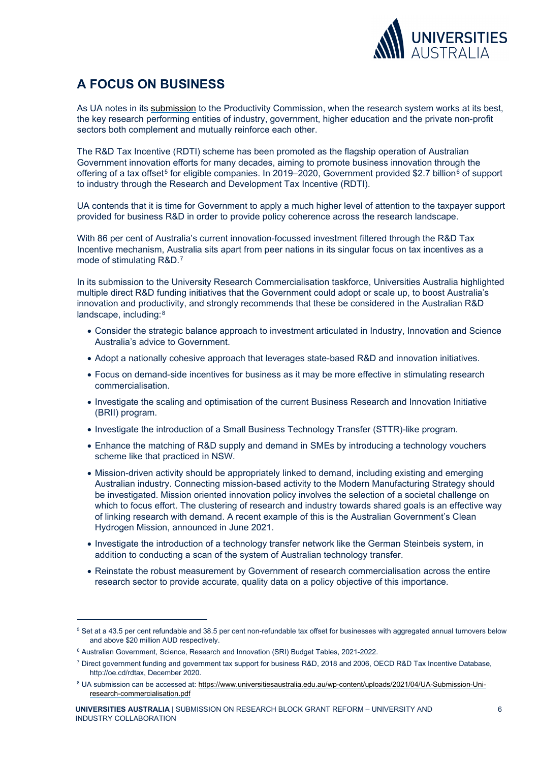

# **A FOCUS ON BUSINESS**

As UA notes in its [submission](https://www.universitiesaustralia.edu.au/submission/submission-to-the-productivity-commission-inquiry-into-productivity) to the Productivity Commission, when the research system works at its best, the key research performing entities of industry, government, higher education and the private non-profit sectors both complement and mutually reinforce each other.

The R&D Tax Incentive (RDTI) scheme has been promoted as the flagship operation of Australian Government innovation efforts for many decades, aiming to promote business innovation through the offering of a tax offset<sup>[5](#page-5-0)</sup> for eligible companies. In 2019–2020, Government provided \$2.7 billion<sup>[6](#page-5-1)</sup> of support to industry through the Research and Development Tax Incentive (RDTI).

UA contends that it is time for Government to apply a much higher level of attention to the taxpayer support provided for business R&D in order to provide policy coherence across the research landscape.

With 86 per cent of Australia's current innovation-focussed investment filtered through the R&D Tax Incentive mechanism, Australia sits apart from peer nations in its singular focus on tax incentives as a mode of stimulating R&D.[7](#page-5-2)

In its submission to the University Research Commercialisation taskforce, Universities Australia highlighted multiple direct R&D funding initiatives that the Government could adopt or scale up, to boost Australia's innovation and productivity, and strongly recommends that these be considered in the Australian R&D landscape, including:[8](#page-5-3)

- Consider the strategic balance approach to investment articulated in Industry, Innovation and Science Australia's advice to Government.
- Adopt a nationally cohesive approach that leverages state-based R&D and innovation initiatives.
- Focus on demand-side incentives for business as it may be more effective in stimulating research commercialisation.
- Investigate the scaling and optimisation of the current Business Research and Innovation Initiative (BRII) program.
- Investigate the introduction of a Small Business Technology Transfer (STTR)-like program.
- Enhance the matching of R&D supply and demand in SMEs by introducing a technology vouchers scheme like that practiced in NSW.
- Mission-driven activity should be appropriately linked to demand, including existing and emerging Australian industry. Connecting mission-based activity to the Modern Manufacturing Strategy should be investigated. Mission oriented innovation policy involves the selection of a societal challenge on which to focus effort. The clustering of research and industry towards shared goals is an effective way of linking research with demand. A recent example of this is the Australian Government's Clean Hydrogen Mission, announced in June 2021.
- Investigate the introduction of a technology transfer network like the German Steinbeis system, in addition to conducting a scan of the system of Australian technology transfer.
- Reinstate the robust measurement by Government of research commercialisation across the entire research sector to provide accurate, quality data on a policy objective of this importance.

<span id="page-5-0"></span><sup>&</sup>lt;sup>5</sup> Set at a 43.5 per cent refundable and 38.5 per cent non-refundable tax offset for businesses with aggregated annual turnovers below and above \$20 million AUD respectively.

<span id="page-5-2"></span><span id="page-5-1"></span><sup>6</sup> Australian Government, Science, Research and Innovation (SRI) Budget Tables, 2021-2022.

 $^7$  Direct government funding and government tax support for business R&D, 2018 and 2006, OECD R&D Tax Incentive Database, http://oe.cd/rdtax, December 2020.

<span id="page-5-3"></span><sup>8</sup> UA submission can be accessed at: [https://www.universitiesaustralia.edu.au/wp-content/uploads/2021/04/UA-Submission-Uni](https://www.universitiesaustralia.edu.au/wp-content/uploads/2021/04/UA-Submission-Uni-research-commercialisation.pdf)[research-commercialisation.pdf](https://www.universitiesaustralia.edu.au/wp-content/uploads/2021/04/UA-Submission-Uni-research-commercialisation.pdf)